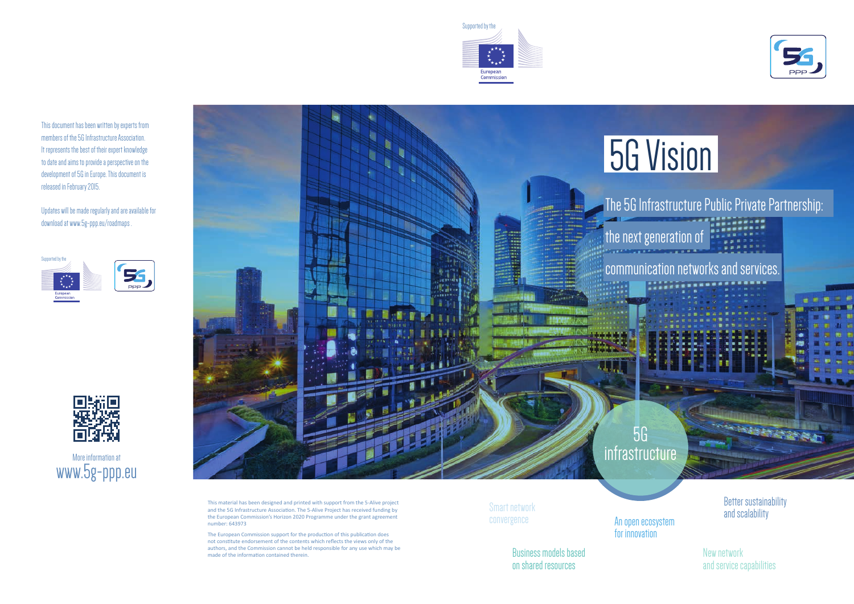This material has been designed and printed with support from the 5-Alive project and the 5G Infrastructure Association. The 5-Alive Project has received funding by the European Commission's Horizon 2020 Programme under the grant agreement number: 643973

The European Commission support for the production of this publication does not constitute endorsement of the contents which reflects the views only of the authors, and the Commission cannot be held responsible for any use which may be made of the information contained therein.

# 5G Vision

### The 5G Infrastructure Public Private Partnership:

the next generation of

communication networks and services.

More information at www.5g-ppp.eu



Smart network convergence

> Business models based on shared resources



New network and service capabilities

An open ecosystem for innovation

Better sustainability and scalability

**Salara** 









This document has been written by experts from members of the 5G Infrastructure Association. It represents the best of their expert knowledge to date and aims to provide a perspective on the development of 5G in Europe. This document is released in February 2015.

Updates will be made regularly and are available for download at www.5g-ppp.eu/roadmaps .